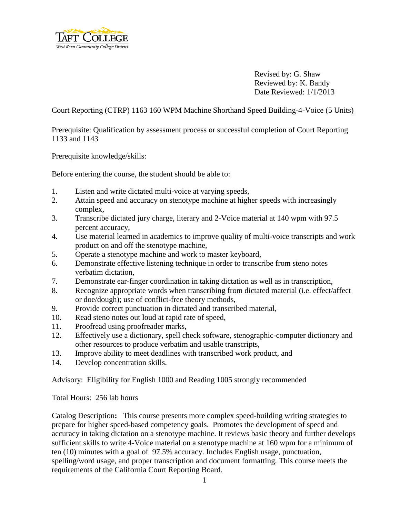

Revised by: G. Shaw Reviewed by: K. Bandy Date Reviewed: 1/1/2013

### Court Reporting (CTRP) 1163 160 WPM Machine Shorthand Speed Building-4-Voice (5 Units)

Prerequisite: Qualification by assessment process or successful completion of Court Reporting 1133 and 1143

Prerequisite knowledge/skills:

Before entering the course, the student should be able to:

- 1. Listen and write dictated multi-voice at varying speeds,
- 2. Attain speed and accuracy on stenotype machine at higher speeds with increasingly complex,
- 3. Transcribe dictated jury charge, literary and 2-Voice material at 140 wpm with 97.5 percent accuracy,
- 4. Use material learned in academics to improve quality of multi-voice transcripts and work product on and off the stenotype machine,
- 5. Operate a stenotype machine and work to master keyboard,
- 6. Demonstrate effective listening technique in order to transcribe from steno notes verbatim dictation,
- 7. Demonstrate ear-finger coordination in taking dictation as well as in transcription,
- 8. Recognize appropriate words when transcribing from dictated material (i.e. effect/affect or doe/dough); use of conflict-free theory methods,
- 9. Provide correct punctuation in dictated and transcribed material,
- 10. Read steno notes out loud at rapid rate of speed,
- 11. Proofread using proofreader marks,
- 12. Effectively use a dictionary, spell check software, stenographic-computer dictionary and other resources to produce verbatim and usable transcripts,
- 13. Improve ability to meet deadlines with transcribed work product, and
- 14. Develop concentration skills.

Advisory: Eligibility for English 1000 and Reading 1005 strongly recommended

Total Hours: 256 lab hours

Catalog Description**:** This course presents more complex speed-building writing strategies to prepare for higher speed-based competency goals. Promotes the development of speed and accuracy in taking dictation on a stenotype machine. It reviews basic theory and further develops sufficient skills to write 4-Voice material on a stenotype machine at 160 wpm for a minimum of ten (10) minutes with a goal of 97.5% accuracy. Includes English usage, punctuation, spelling/word usage, and proper transcription and document formatting. This course meets the requirements of the California Court Reporting Board.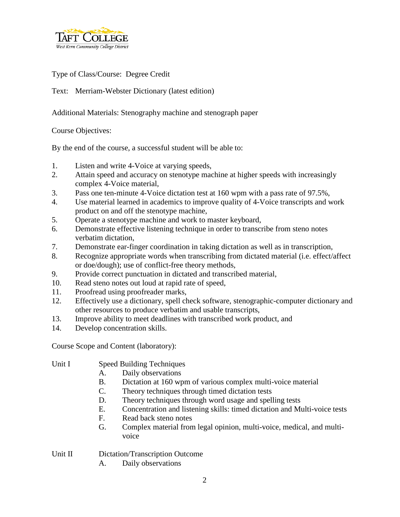

# Type of Class/Course: Degree Credit

Text: Merriam-Webster Dictionary (latest edition)

Additional Materials: Stenography machine and stenograph paper

Course Objectives:

By the end of the course, a successful student will be able to:

- 1. Listen and write 4-Voice at varying speeds,
- 2. Attain speed and accuracy on stenotype machine at higher speeds with increasingly complex 4-Voice material,
- 3. Pass one ten-minute 4-Voice dictation test at 160 wpm with a pass rate of 97.5%,
- 4. Use material learned in academics to improve quality of 4-Voice transcripts and work product on and off the stenotype machine,
- 5. Operate a stenotype machine and work to master keyboard,
- 6. Demonstrate effective listening technique in order to transcribe from steno notes verbatim dictation,
- 7. Demonstrate ear-finger coordination in taking dictation as well as in transcription,
- 8. Recognize appropriate words when transcribing from dictated material (i.e. effect/affect or doe/dough); use of conflict-free theory methods,
- 9. Provide correct punctuation in dictated and transcribed material,
- 10. Read steno notes out loud at rapid rate of speed,
- 11. Proofread using proofreader marks,
- 12. Effectively use a dictionary, spell check software, stenographic-computer dictionary and other resources to produce verbatim and usable transcripts,
- 13. Improve ability to meet deadlines with transcribed work product, and
- 14. Develop concentration skills.

Course Scope and Content (laboratory):

- Unit I Speed Building Techniques
	- A. Daily observations
	- B. Dictation at 160 wpm of various complex multi-voice material
	- C. Theory techniques through timed dictation tests
	- D. Theory techniques through word usage and spelling tests
	- E. Concentration and listening skills: timed dictation and Multi-voice tests
	- F. Read back steno notes
	- G. Complex material from legal opinion, multi-voice, medical, and multivoice

## Unit II Dictation/Transcription Outcome

A. Daily observations